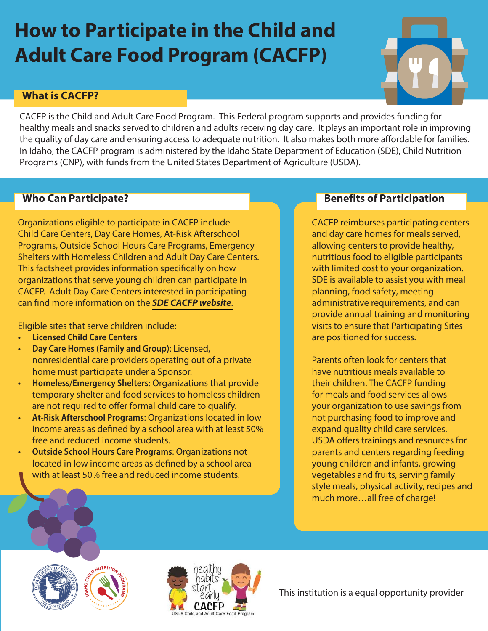# **How to Participate in the Child and Adult Care Food Program (CACFP)**



# **What is CACFP?**

CACFP is the Child and Adult Care Food Program. This Federal program supports and provides funding for healthy meals and snacks served to children and adults receiving day care. It plays an important role in improving the quality of day care and ensuring access to adequate nutrition. It also makes both more affordable for families. In Idaho, the CACFP program is administered by the Idaho State Department of Education (SDE), Child Nutrition Programs (CNP), with funds from the United States Department of Agriculture (USDA).

## **Who Can Participate?**

Organizations eligible to participate in CACFP include Child Care Centers, Day Care Homes, At-Risk Afterschool Programs, Outside School Hours Care Programs, Emergency Shelters with Homeless Children and Adult Day Care Centers. This factsheet provides information specifcally on how organizations that serve young children can participate in CACFP. Adult Day Care Centers interested in participating can find more information on the **[SDE CACFP website](https://www.sde.idaho.gov/cnp/cacfp/)**.

Eligible sites that serve children include:

- **Licensed Child Care Centers**
- **Day Care Homes (Family and Group)**: Licensed, nonresidential care providers operating out of a private home must participate under a Sponsor.
- **Homeless/Emergency Shelters**: Organizations that provide temporary shelter and food services to homeless children are not required to offer formal child care to qualify.
- **At-Risk Afterschool Programs**: Organizations located in low income areas as defned by a school area with at least 50% free and reduced income students.
- **Outside School Hours Care Programs**: Organizations not located in low income areas as defned by a school area with at least 50% free and reduced income students.

## **Benefits of Participation**

CACFP reimburses participating centers and day care homes for meals served, allowing centers to provide healthy, nutritious food to eligible participants with limited cost to your organization. SDE is available to assist you with meal planning, food safety, meeting administrative requirements, and can provide annual training and monitoring visits to ensure that Participating Sites are positioned for success.

Parents often look for centers that have nutritious meals available to their children. The CACFP funding for meals and food services allows your organization to use savings from not purchasing food to improve and expand quality child care services. USDA offers trainings and resources for parents and centers regarding feeding young children and infants, growing vegetables and fruits, serving family style meals, physical activity, recipes and much more…all free of charge!







This institution is a equal opportunity provider